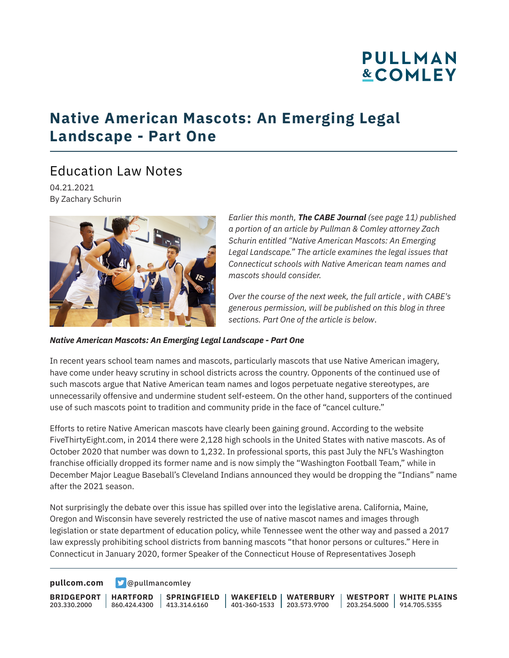# **PULLMAN &COMLEY**

## **Native American Mascots: An Emerging Legal Landscape - Part One**

## Education Law Notes

04.21.2021 By Zachary Schurin



*Earlier this month, The CABE Journal (see page 11) published a portion of an article by Pullman & Comley attorney Zach Schurin entitled "Native American Mascots: An Emerging Legal Landscape." The article examines the legal issues that Connecticut schools with Native American team names and mascots should consider.* 

*Over the course of the next week, the full article , with CABE's generous permission, will be published on this blog in three sections. Part One of the article is below*.

#### *Native American Mascots: An Emerging Legal Landscape - Part One*

In recent years school team names and mascots, particularly mascots that use Native American imagery, have come under heavy scrutiny in school districts across the country. Opponents of the continued use of such mascots argue that Native American team names and logos perpetuate negative stereotypes, are unnecessarily offensive and undermine student self-esteem. On the other hand, supporters of the continued use of such mascots point to tradition and community pride in the face of "cancel culture."

Efforts to retire Native American mascots have clearly been gaining ground. According to the website FiveThirtyEight.com, in 2014 there were 2,128 high schools in the United States with native mascots. As of October 2020 that number was down to 1,232. In professional sports, this past July the NFL's Washington franchise officially dropped its former name and is now simply the "Washington Football Team," while in December Major League Baseball's Cleveland Indians announced they would be dropping the "Indians" name after the 2021 season.

Not surprisingly the debate over this issue has spilled over into the legislative arena. California, Maine, Oregon and Wisconsin have severely restricted the use of native mascot names and images through legislation or state department of education policy, while Tennessee went the other way and passed a 2017 law expressly prohibiting school districts from banning mascots "that honor persons or cultures." Here in Connecticut in January 2020, former Speaker of the Connecticut House of Representatives Joseph

**[pullcom.com](https://www.pullcom.com) g** [@pullmancomley](https://twitter.com/PullmanComley)

**BRIDGEPORT** 203.330.2000

**HARTFORD**

860.424.4300 413.314.6160 **SPRINGFIELD** **WAKEFIELD WATERBURY** 401-360-1533 203.573.9700 **WESTPORT WHITE PLAINS** 203.254.5000 914.705.5355